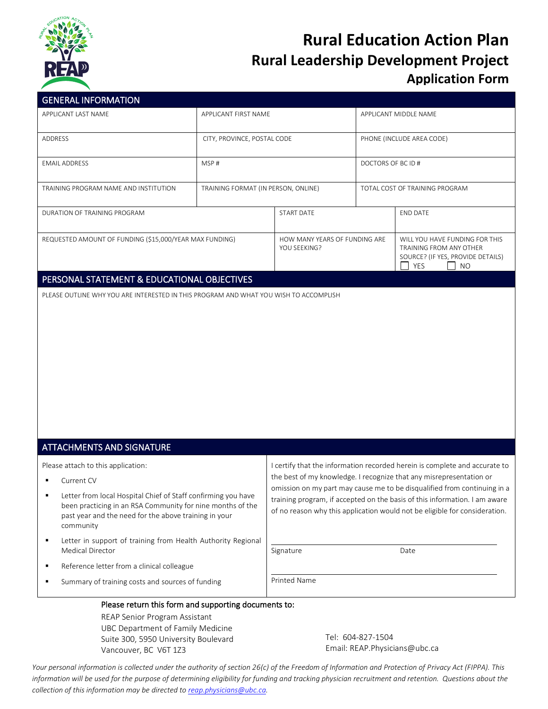

# **Rural Education Action Plan Rural Leadership Development Project Application Form**

| <b>GENERAL INFORMATION</b>                                                                                                                                                                                                                                                                                                      |                                     |                                                                                                                                                                                                                                                                                                                                                                                           |                                |                                                                                                                    |
|---------------------------------------------------------------------------------------------------------------------------------------------------------------------------------------------------------------------------------------------------------------------------------------------------------------------------------|-------------------------------------|-------------------------------------------------------------------------------------------------------------------------------------------------------------------------------------------------------------------------------------------------------------------------------------------------------------------------------------------------------------------------------------------|--------------------------------|--------------------------------------------------------------------------------------------------------------------|
| APPLICANT LAST NAME                                                                                                                                                                                                                                                                                                             | APPLICANT FIRST NAME                |                                                                                                                                                                                                                                                                                                                                                                                           | APPLICANT MIDDLE NAME          |                                                                                                                    |
| ADDRESS                                                                                                                                                                                                                                                                                                                         | CITY, PROVINCE, POSTAL CODE         |                                                                                                                                                                                                                                                                                                                                                                                           | PHONE (INCLUDE AREA CODE)      |                                                                                                                    |
| <b>EMAIL ADDRESS</b>                                                                                                                                                                                                                                                                                                            | MSP#                                |                                                                                                                                                                                                                                                                                                                                                                                           | DOCTORS OF BC ID #             |                                                                                                                    |
| TRAINING PROGRAM NAME AND INSTITUTION                                                                                                                                                                                                                                                                                           | TRAINING FORMAT (IN PERSON, ONLINE) |                                                                                                                                                                                                                                                                                                                                                                                           | TOTAL COST OF TRAINING PROGRAM |                                                                                                                    |
| DURATION OF TRAINING PROGRAM                                                                                                                                                                                                                                                                                                    |                                     | <b>START DATE</b>                                                                                                                                                                                                                                                                                                                                                                         |                                | <b>END DATE</b>                                                                                                    |
| REQUESTED AMOUNT OF FUNDING (\$15,000/YEAR MAX FUNDING)                                                                                                                                                                                                                                                                         |                                     | HOW MANY YEARS OF FUNDING ARE<br>YOU SEEKING?                                                                                                                                                                                                                                                                                                                                             |                                | WILL YOU HAVE FUNDING FOR THIS<br>TRAINING FROM ANY OTHER<br>SOURCE? (IF YES, PROVIDE DETAILS)<br>YES<br><b>NO</b> |
| PERSONAL STATEMENT & EDUCATIONAL OBJECTIVES                                                                                                                                                                                                                                                                                     |                                     |                                                                                                                                                                                                                                                                                                                                                                                           |                                |                                                                                                                    |
|                                                                                                                                                                                                                                                                                                                                 |                                     |                                                                                                                                                                                                                                                                                                                                                                                           |                                |                                                                                                                    |
| <b>ATTACHMENTS AND SIGNATURE</b>                                                                                                                                                                                                                                                                                                |                                     |                                                                                                                                                                                                                                                                                                                                                                                           |                                |                                                                                                                    |
| Please attach to this application:<br>Current CV<br>٠<br>Letter from local Hospital Chief of Staff confirming you have<br>been practicing in an RSA Community for nine months of the<br>past year and the need for the above training in your<br>community<br>Letter in support of training from Health Authority Regional<br>٠ |                                     | I certify that the information recorded herein is complete and accurate to<br>the best of my knowledge. I recognize that any misrepresentation or<br>omission on my part may cause me to be disqualified from continuing in a<br>training program, if accepted on the basis of this information. I am aware<br>of no reason why this application would not be eligible for consideration. |                                |                                                                                                                    |
| <b>Medical Director</b>                                                                                                                                                                                                                                                                                                         |                                     | Signature                                                                                                                                                                                                                                                                                                                                                                                 |                                | Date                                                                                                               |
| Reference letter from a clinical colleague<br>٠                                                                                                                                                                                                                                                                                 |                                     |                                                                                                                                                                                                                                                                                                                                                                                           |                                |                                                                                                                    |
| Summary of training costs and sources of funding<br>٠                                                                                                                                                                                                                                                                           |                                     | Printed Name                                                                                                                                                                                                                                                                                                                                                                              |                                |                                                                                                                    |
| Please return this form and supporting documents to:<br>REAP Senior Program Assistant<br>UBC Department of Family Medicine<br>Suite 300, 5950 University Boulevard<br>Vancouver, BC V6T 1Z3                                                                                                                                     |                                     |                                                                                                                                                                                                                                                                                                                                                                                           | Tel: 604-827-1504              | Email: REAP.Physicians@ubc.ca                                                                                      |

*Your personal information is collected under the authority of section 26(c) of the Freedom of Information and Protection of Privacy Act (FIPPA). This information will be used for the purpose of determining eligibility for funding and tracking physician recruitment and retention. Questions about the collection of this information may be directed t[o reap.physicians@ubc.ca.](mailto:reap.physicians@ubc.ca)*